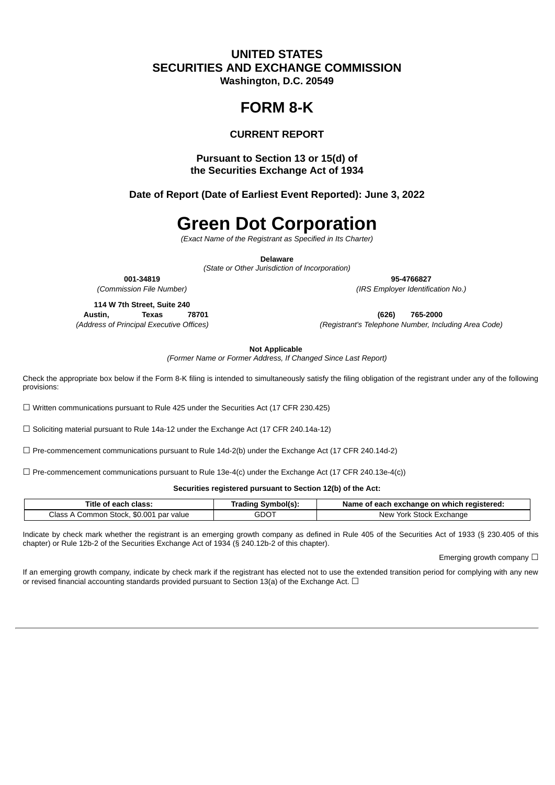### **UNITED STATES SECURITIES AND EXCHANGE COMMISSION Washington, D.C. 20549**

## **FORM 8-K**

### **CURRENT REPORT**

### **Pursuant to Section 13 or 15(d) of the Securities Exchange Act of 1934**

**Date of Report (Date of Earliest Event Reported): June 3, 2022**

# **Green Dot Corporation**

*(Exact Name of the Registrant as Specified in Its Charter)*

**Delaware**

*(State or Other Jurisdiction of Incorporation)*

**001-34819 95-4766827** *(Commission File Number) (IRS Employer Identification No.)*

**114 W 7th Street, Suite 240**

**Austin, Texas 78701 (626) 765-2000**

*(Address of Principal Executive Offices) (Registrant's Telephone Number, Including Area Code)*

**Not Applicable**

*(Former Name or Former Address, If Changed Since Last Report)*

Check the appropriate box below if the Form 8-K filing is intended to simultaneously satisfy the filing obligation of the registrant under any of the following provisions:

☐ Written communications pursuant to Rule 425 under the Securities Act (17 CFR 230.425)

 $\Box$  Soliciting material pursuant to Rule 14a-12 under the Exchange Act (17 CFR 240.14a-12)

☐ Pre-commencement communications pursuant to Rule 14d-2(b) under the Exchange Act (17 CFR 240.14d-2)

 $\Box$  Pre-commencement communications pursuant to Rule 13e-4(c) under the Exchange Act (17 CFR 240.13e-4(c))

**Securities registered pursuant to Section 12(b) of the Act:**

| Title<br>class:<br>へへへれ<br>---                                | Svmbolís<br><b>Trading</b> | registered.<br>Name<br>ı which<br>ωn<br>exchange<br>each<br>ா. |
|---------------------------------------------------------------|----------------------------|----------------------------------------------------------------|
| \$0.001<br>Class<br>Stock.<br>. par :<br>value<br>∶ommon<br>▵ | $\cap$<br>טשכ              | Stock I<br>York 5<br>Evchango<br>Nev<br>- X L.<br>нание        |

Indicate by check mark whether the registrant is an emerging growth company as defined in Rule 405 of the Securities Act of 1933 (§ 230.405 of this chapter) or Rule 12b-2 of the Securities Exchange Act of 1934 (§ 240.12b-2 of this chapter).

Emerging growth company  $\Box$ 

If an emerging growth company, indicate by check mark if the registrant has elected not to use the extended transition period for complying with any new or revised financial accounting standards provided pursuant to Section 13(a) of the Exchange Act.  $\Box$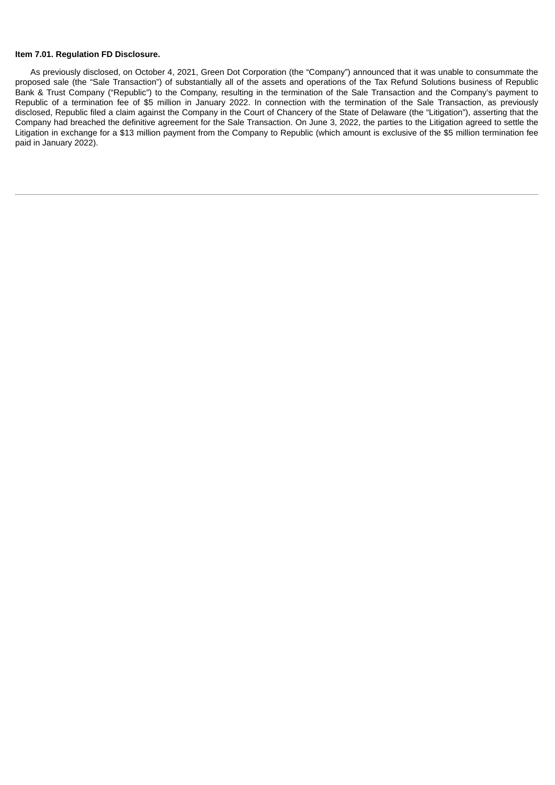#### **Item 7.01. Regulation FD Disclosure.**

As previously disclosed, on October 4, 2021, Green Dot Corporation (the "Company") announced that it was unable to consummate the proposed sale (the "Sale Transaction") of substantially all of the assets and operations of the Tax Refund Solutions business of Republic Bank & Trust Company ("Republic") to the Company, resulting in the termination of the Sale Transaction and the Company's payment to Republic of a termination fee of \$5 million in January 2022. In connection with the termination of the Sale Transaction, as previously disclosed, Republic filed a claim against the Company in the Court of Chancery of the State of Delaware (the "Litigation"), asserting that the Company had breached the definitive agreement for the Sale Transaction. On June 3, 2022, the parties to the Litigation agreed to settle the Litigation in exchange for a \$13 million payment from the Company to Republic (which amount is exclusive of the \$5 million termination fee paid in January 2022).